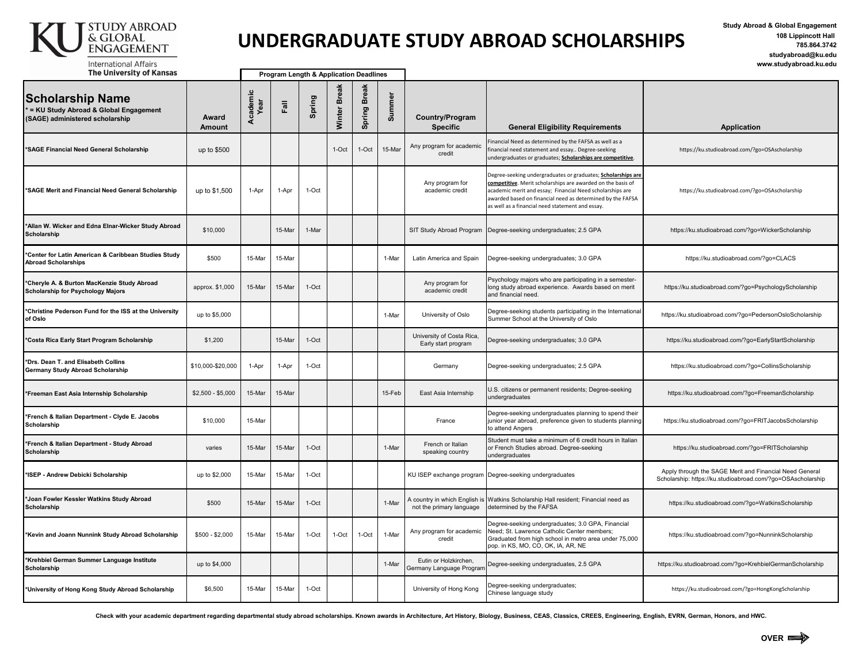

## **UNDERGRADUATE STUDY ABROAD SCHOLARSHIPS**

**Study Abroad & Global Engagement 108 Lippincott Hall 785.864.3742 studyabroad@ku.edu www.studyabroad.ku.edu**

| <b>The University of Kansas</b>                                                                       |                        | Program Length & Application Deadlines |        |         |                        |                        |        |                                                           |                                                                                                                                                                                                                                                                                                            |                                                                                                                        |
|-------------------------------------------------------------------------------------------------------|------------------------|----------------------------------------|--------|---------|------------------------|------------------------|--------|-----------------------------------------------------------|------------------------------------------------------------------------------------------------------------------------------------------------------------------------------------------------------------------------------------------------------------------------------------------------------------|------------------------------------------------------------------------------------------------------------------------|
| <b>Scholarship Name</b><br>* = KU Study Abroad & Global Engagement<br>(SAGE) administered scholarship | Award<br><b>Amount</b> | Academic<br>Year                       | Fall   | Spring  | <b>Break</b><br>Winter | <b>Break</b><br>Spring | Summer | Country/Program<br><b>Specific</b>                        | <b>General Eligibility Requirements</b>                                                                                                                                                                                                                                                                    | <b>Application</b>                                                                                                     |
| *SAGE Financial Need General Scholarship                                                              | up to \$500            |                                        |        |         | 1-Oct                  | $1-Oct$                | 15-Mar | Any program for academic<br>credit                        | inancial Need as determined by the FAFSA as well as a<br>inancial need statement and essay Degree-seeking<br>undergraduates or graduates; Scholarships are competitive.                                                                                                                                    | https://ku.studioabroad.com/?go=OSAscholarship                                                                         |
| *SAGE Merit and Financial Need General Scholarship                                                    | up to \$1,500          | 1-Apr                                  | 1-Apr  | 1-Oct   |                        |                        |        | Any program for<br>academic credit                        | Degree-seeking undergraduates or graduates; Scholarships are<br>competitive. Merit scholarships are awarded on the basis of<br>academic merit and essay; Financial Need scholarships are<br>awarded based on financial need as determined by the FAFSA<br>as well as a financial need statement and essay. | https://ku.studioabroad.com/?go=OSAscholarship                                                                         |
| *Allan W. Wicker and Edna Elnar-Wicker Study Abroad<br>Scholarship                                    | \$10,000               |                                        | 15-Mar | 1-Mar   |                        |                        |        | SIT Study Abroad Program                                  | Degree-seeking undergraduates; 2.5 GPA                                                                                                                                                                                                                                                                     | https://ku.studioabroad.com/?go=WickerScholarship                                                                      |
| *Center for Latin American & Caribbean Studies Study<br><b>Abroad Scholarships</b>                    | \$500                  | 15-Mar                                 | 15-Mar |         |                        |                        | 1-Mar  | Latin America and Spain                                   | Degree-seeking undergraduates; 3.0 GPA                                                                                                                                                                                                                                                                     | https://ku.studioabroad.com/?go=CLACS                                                                                  |
| *Cheryle A. & Burton MacKenzie Study Abroad<br>Scholarship for Psychology Majors                      | approx. \$1,000        | 15-Mar                                 | 15-Mar | 1-Oct   |                        |                        |        | Any program for<br>academic credit                        | Psychology majors who are participating in a semester-<br>long study abroad experience. Awards based on merit<br>and financial need.                                                                                                                                                                       | https://ku.studioabroad.com/?go=PsychologyScholarship                                                                  |
| *Christine Pederson Fund for the ISS at the University<br>of Oslo                                     | up to \$5,000          |                                        |        |         |                        |                        | 1-Mar  | University of Oslo                                        | Degree-seeking students participating in the International<br>Summer School at the University of Oslo                                                                                                                                                                                                      | https://ku.studioabroad.com/?go=PedersonOsloScholarship                                                                |
| *Costa Rica Early Start Program Scholarship                                                           | \$1,200                |                                        | 15-Mar | $1-Oct$ |                        |                        |        | University of Costa Rica,<br>Early start program          | Degree-seeking undergraduates; 3.0 GPA                                                                                                                                                                                                                                                                     | https://ku.studioabroad.com/?go=EarlyStartScholarship                                                                  |
| *Drs. Dean T. and Elisabeth Collins<br>Germany Study Abroad Scholarship                               | \$10,000-\$20,000      | 1-Apr                                  | 1-Apr  | $1-Oct$ |                        |                        |        | Germany                                                   | Degree-seeking undergraduates; 2.5 GPA                                                                                                                                                                                                                                                                     | https://ku.studioabroad.com/?go=CollinsScholarship                                                                     |
| *Freeman East Asia Internship Scholarship                                                             | $$2,500 - $5,000$      | 15-Mar                                 | 15-Mar |         |                        |                        | 15-Feb | East Asia Internship                                      | U.S. citizens or permanent residents; Degree-seeking<br>undergraduates                                                                                                                                                                                                                                     | https://ku.studioabroad.com/?go=FreemanScholarship                                                                     |
| *French & Italian Department - Clyde E. Jacobs<br>Scholarship                                         | \$10,000               | 15-Mar                                 |        |         |                        |                        |        | France                                                    | Degree-seeking undergraduates planning to spend their<br>junior year abroad, preference given to students planning<br>to attend Angers                                                                                                                                                                     | https://ku.studioabroad.com/?go=FRITJacobsScholarship                                                                  |
| *French & Italian Department - Study Abroad<br>Scholarship                                            | varies                 | 15-Mar                                 | 15-Mar | $1-Oct$ |                        |                        | 1-Mar  | French or Italian<br>speaking country                     | Student must take a minimum of 6 credit hours in Italian<br>or French Studies abroad. Degree-seeking<br>undergraduates                                                                                                                                                                                     | https://ku.studioabroad.com/?go=FRITScholarship                                                                        |
| *ISEP - Andrew Debicki Scholarship                                                                    | up to \$2,000          | 15-Mar                                 | 15-Mar | 1-Oct   |                        |                        |        | KU ISEP exchange program                                  | Degree-seeking undergraduates                                                                                                                                                                                                                                                                              | Apply through the SAGE Merit and Financial Need General<br>Scholarship: https://ku.studioabroad.com/?go=OSAscholarship |
| *Joan Fowler Kessler Watkins Study Abroad<br>Scholarship                                              | \$500                  | 15-Mar                                 | 15-Mar | $1-Oct$ |                        |                        | 1-Mar  | A country in which English is<br>not the primary language | Watkins Scholarship Hall resident; Financial need as<br>determined by the FAFSA                                                                                                                                                                                                                            | https://ku.studioabroad.com/?go=WatkinsScholarship                                                                     |
| *Kevin and Joann Nunnink Study Abroad Scholarship                                                     | $$500 - $2,000$        | 15-Mar                                 | 15-Mar | 1-Oct   | 1-Oct                  | 1-Oct                  | 1-Mar  | Any program for academic<br>credit                        | Degree-seeking undergraduates; 3.0 GPA, Financial<br>Need; St. Lawrence Catholic Center members;<br>Graduated from high school in metro area under 75,000<br>pop. in KS, MO, CO, OK, IA, AR, NE                                                                                                            | https://ku.studioabroad.com/?go=NunninkScholarship                                                                     |
| *Krehbiel German Summer Language Institute<br>Scholarship                                             | up to \$4,000          |                                        |        |         |                        |                        | 1-Mar  | Eutin or Holzkirchen,<br>Germany Language Prograr         | Degree-seeking undergraduates, 2.5 GPA                                                                                                                                                                                                                                                                     | https://ku.studioabroad.com/?go=KrehbielGermanScholarship                                                              |
| *University of Hong Kong Study Abroad Scholarship                                                     | \$6,500                | 15-Mar                                 | 15-Mar | 1-Oct   |                        |                        |        | University of Hong Kong                                   | Degree-seeking undergraduates;<br>Chinese language study                                                                                                                                                                                                                                                   | https://ku.studioabroad.com/?go=HongKongScholarship                                                                    |

Check with your academic department regarding departmental study abroad scholarships. Known awards in Architecture, Art History, Biology, Business, CEAS, Classics, CREES, Engineering, English, EVRN, German, Honors, and HWC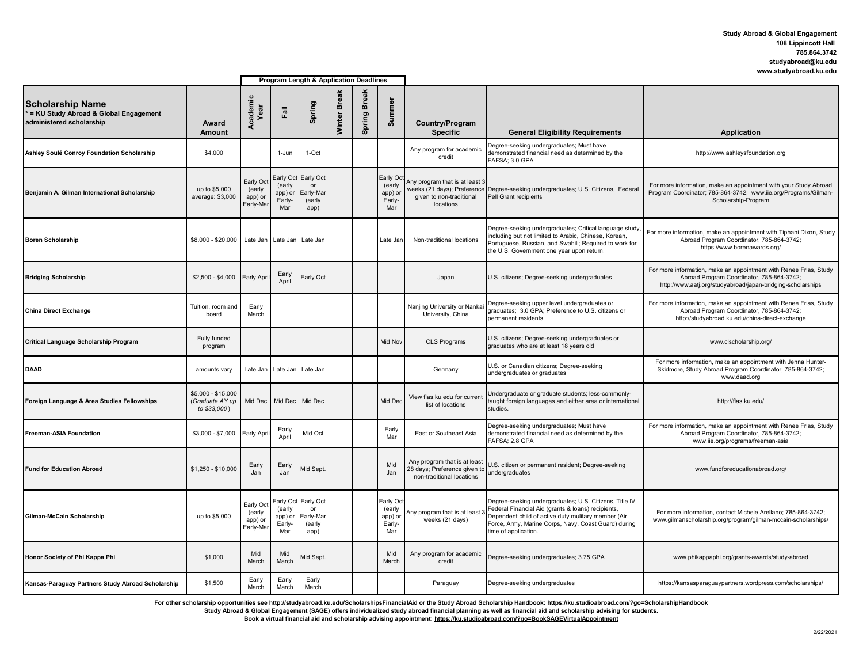## **Study Abroad & Global Engagement 108 Lippincott Hall 785.864.3742 studyabroad@ku.edu www.studyabroad.ku.edu**

|                                                                                              |                                                       | Program Length & Application Deadlines      |                                                 |                                                |                        |                        |                                                 |                                                                                           |                                                                                                                                                                                                                                                     |                                                                                                                                                                               |
|----------------------------------------------------------------------------------------------|-------------------------------------------------------|---------------------------------------------|-------------------------------------------------|------------------------------------------------|------------------------|------------------------|-------------------------------------------------|-------------------------------------------------------------------------------------------|-----------------------------------------------------------------------------------------------------------------------------------------------------------------------------------------------------------------------------------------------------|-------------------------------------------------------------------------------------------------------------------------------------------------------------------------------|
| <b>Scholarship Name</b><br>= KU Study Abroad & Global Engagement<br>administered scholarship | Award<br>Amount                                       | Academic<br>Year                            | Fail                                            | Spring                                         | <b>Break</b><br>Winter | <b>Break</b><br>Spring | Summe                                           | Country/Program<br><b>Specific</b>                                                        | <b>General Eligibility Requirements</b>                                                                                                                                                                                                             | <b>Application</b>                                                                                                                                                            |
| Ashley Soulé Conroy Foundation Scholarship                                                   | \$4,000                                               |                                             | 1-Jun                                           | $1-Oct$                                        |                        |                        |                                                 | Any program for academic<br>credit                                                        | Degree-seeking undergraduates; Must have<br>demonstrated financial need as determined by the<br>FAFSA; 3.0 GPA                                                                                                                                      | http://www.ashleysfoundation.org                                                                                                                                              |
| Benjamin A. Gilman International Scholarship                                                 | up to \$5,000<br>average: \$3,000                     | Early Oc<br>(early<br>app) or<br>Early-Mar  | Early Oct<br>(early<br>app) or<br>Early-<br>Mar | Early Oct<br>or<br>Early-Mai<br>(early<br>app) |                        |                        | Early Oct<br>(early<br>app) or<br>Early-<br>Mar | Any program that is at least 3<br>given to non-traditional<br>locations                   | weeks (21 days); Preference Degree-seeking undergraduates; U.S. Citizens, Federal<br>Pell Grant recipients                                                                                                                                          | For more information, make an appointment with your Study Abroad<br>Program Coordinator; 785-864-3742; www.iie.org/Programs/Gilman-<br>Scholarship-Program                    |
| <b>Boren Scholarship</b>                                                                     | \$8,000 - \$20,000                                    |                                             |                                                 | Late Jan Late Jan Late Jan                     |                        |                        | Late Jan                                        | Non-traditional locations                                                                 | Degree-seeking undergraduates; Critical language study<br>including but not limited to Arabic, Chinese, Korean,<br>Portuguese, Russian, and Swahili; Required to work for<br>the U.S. Government one year upon return.                              | For more information, make an appointment with Tiphani Dixon, Study<br>Abroad Program Coordinator, 785-864-3742;<br>https://www.borenawards.org/                              |
| <b>Bridging Scholarship</b>                                                                  | $$2,500 - $4,000$                                     | <b>Early Apri</b>                           | Early<br>April                                  | Early Oct                                      |                        |                        |                                                 | Japan                                                                                     | U.S. citizens; Degree-seeking undergraduates                                                                                                                                                                                                        | For more information, make an appointment with Renee Frias, Study<br>Abroad Program Coordinator, 785-864-3742;<br>http://www.aatj.org/studyabroad/japan-bridging-scholarships |
| <b>China Direct Exchange</b>                                                                 | Tuition, room and<br>board                            | Early<br>March                              |                                                 |                                                |                        |                        |                                                 | Nanjing University or Nankai<br>University, China                                         | Degree-seeking upper level undergraduates or<br>graduates; 3.0 GPA; Preference to U.S. citizens or<br>permanent residents                                                                                                                           | For more information, make an appointment with Renee Frias, Study<br>Abroad Program Coordinator, 785-864-3742;<br>http://studyabroad.ku.edu/china-direct-exchange             |
| Critical Language Scholarship Program                                                        | Fully funded<br>program                               |                                             |                                                 |                                                |                        |                        | Mid Nov                                         | <b>CLS Programs</b>                                                                       | U.S. citizens; Degree-seeking undergraduates or<br>graduates who are at least 18 years old                                                                                                                                                          | www.clscholarship.org/                                                                                                                                                        |
| DAAD                                                                                         | amounts vary                                          | Late Jan                                    | Late Jan                                        | Late Jan                                       |                        |                        |                                                 | Germany                                                                                   | U.S. or Canadian citizens; Degree-seeking<br>undergraduates or graduates                                                                                                                                                                            | For more information, make an appointment with Jenna Hunter-<br>Skidmore, Study Abroad Program Coordinator, 785-864-3742;<br>www.daad.org                                     |
| Foreign Language & Area Studies Fellowships                                                  | \$5,000 - \$15,000<br>(Graduate AY up<br>to \$33,000) | Mid Dec                                     | Mid Dec                                         | Mid Dec                                        |                        |                        | Mid Dec                                         | View flas.ku.edu for current<br>list of locations                                         | Undergraduate or graduate students; less-commonly-<br>taught foreign languages and either area or international<br>studies.                                                                                                                         | http://flas.ku.edu/                                                                                                                                                           |
| <b>Freeman-ASIA Foundation</b>                                                               | $$3,000 - $7,000$                                     | Early Apri                                  | Early<br>April                                  | Mid Oct                                        |                        |                        | Early<br>Mar                                    | East or Southeast Asia                                                                    | Degree-seeking undergraduates; Must have<br>demonstrated financial need as determined by the<br>FAFSA; 2.8 GPA                                                                                                                                      | For more information, make an appointment with Renee Frias, Study<br>Abroad Program Coordinator, 785-864-3742;<br>www.iie.org/programs/freeman-asia                           |
| <b>Fund for Education Abroad</b>                                                             | \$1,250 - \$10,000                                    | Early<br>Jan                                | Early<br>Jan                                    | <b>Mid Sept</b>                                |                        |                        | Mid<br>Jan                                      | Any program that is at least<br>28 days; Preference given to<br>non-traditional locations | U.S. citizen or permanent resident; Degree-seeking<br>undergraduates                                                                                                                                                                                | www.fundforeducationabroad.org/                                                                                                                                               |
| Gilman-McCain Scholarship                                                                    | up to \$5,000                                         | Early Oct<br>(early<br>app) or<br>Early-Mar | Early Oct<br>(early<br>app) or<br>Early-<br>Mar | Early Oct<br>or<br>Early-Mai<br>(early<br>app) |                        |                        | Early Oct<br>(early<br>app) or<br>Early-<br>Mar | Any program that is at least<br>weeks (21 days)                                           | Degree-seeking undergraduates; U.S. Citizens, Title IV<br>Federal Financial Aid (grants & loans) recipients,<br>Dependent child of active duty mulitary member (Air<br>Force, Army, Marine Corps, Navy, Coast Guard) during<br>time of application. | For more information, contact Michele Arellano: 785-864-3742:<br>www.gilmanscholarship.org/program/gilman-mccain-scholarships/                                                |
| Honor Society of Phi Kappa Phi                                                               | \$1,000                                               | Mid<br>March                                | Mid<br>March                                    | Aid Sept.                                      |                        |                        | Mid<br>March                                    | Any program for academic<br>credit                                                        | Degree-seeking undergraduates; 3.75 GPA                                                                                                                                                                                                             | www.phikappaphi.org/grants-awards/study-abroad                                                                                                                                |
| Kansas-Paraguay Partners Study Abroad Scholarship                                            | \$1,500                                               | Early<br>March                              | Early<br>March                                  | Early<br>March                                 |                        |                        |                                                 | Paraguay                                                                                  | Degree-seeking undergraduates                                                                                                                                                                                                                       | https://kansasparaguaypartners.wordpress.com/scholarships/                                                                                                                    |

For other scholarship opportunities see <u>http://studyabroad.ku.edu/ScholarshipsFinancialAid</u> or the Study Abroad Scholarship Handbook: <u>https://ku.studioabroad.com/?go=ScholarshipHandbook</u><br>Study Abroad & Global Engagement

**Book a virtual financial aid and scholarship advising appointment: https://ku.studioabroad.com/?go=BookSAGEVirtualAppointment**